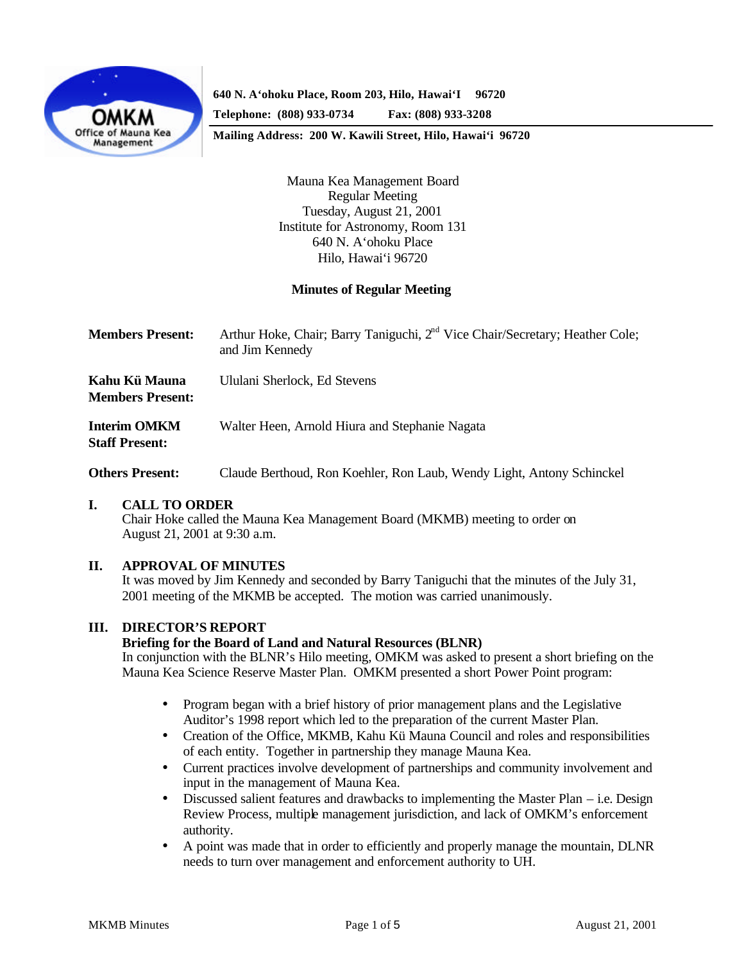

**640 N. A'ohoku Place, Room 203, Hilo, Hawai'I 96720**

**Telephone: (808) 933-0734 Fax: (808) 933-3208**

**Mailing Address: 200 W. Kawili Street, Hilo, Hawai'i 96720**

Mauna Kea Management Board Regular Meeting Tuesday, August 21, 2001 Institute for Astronomy, Room 131 640 N. A'ohoku Place Hilo, Hawai'i 96720

## **Minutes of Regular Meeting**

| <b>Members Present:</b> | Arthur Hoke, Chair; Barry Taniguchi, 2 <sup>nd</sup> Vice Chair/Secretary; Heather Cole;<br>and Jim Kennedy |
|-------------------------|-------------------------------------------------------------------------------------------------------------|
| Kahu Kü Mauna           | Ululani Sherlock, Ed Stevens                                                                                |

**Members Present:**

**Interim OMKM** Walter Heen, Arnold Hiura and Stephanie Nagata **Staff Present:**

**Others Present:** Claude Berthoud, Ron Koehler, Ron Laub, Wendy Light, Antony Schinckel

## **I. CALL TO ORDER**

Chair Hoke called the Mauna Kea Management Board (MKMB) meeting to order on August 21, 2001 at 9:30 a.m.

## **II. APPROVAL OF MINUTES**

It was moved by Jim Kennedy and seconded by Barry Taniguchi that the minutes of the July 31, 2001 meeting of the MKMB be accepted. The motion was carried unanimously.

## **III. DIRECTOR'S REPORT**

#### **Briefing for the Board of Land and Natural Resources (BLNR)**

In conjunction with the BLNR's Hilo meeting, OMKM was asked to present a short briefing on the Mauna Kea Science Reserve Master Plan. OMKM presented a short Power Point program:

- Program began with a brief history of prior management plans and the Legislative Auditor's 1998 report which led to the preparation of the current Master Plan.
- Creation of the Office, MKMB, Kahu Kü Mauna Council and roles and responsibilities of each entity. Together in partnership they manage Mauna Kea.
- Current practices involve development of partnerships and community involvement and input in the management of Mauna Kea.
- Discussed salient features and drawbacks to implementing the Master Plan i.e. Design Review Process, multiple management jurisdiction, and lack of OMKM's enforcement authority.
- A point was made that in order to efficiently and properly manage the mountain, DLNR needs to turn over management and enforcement authority to UH.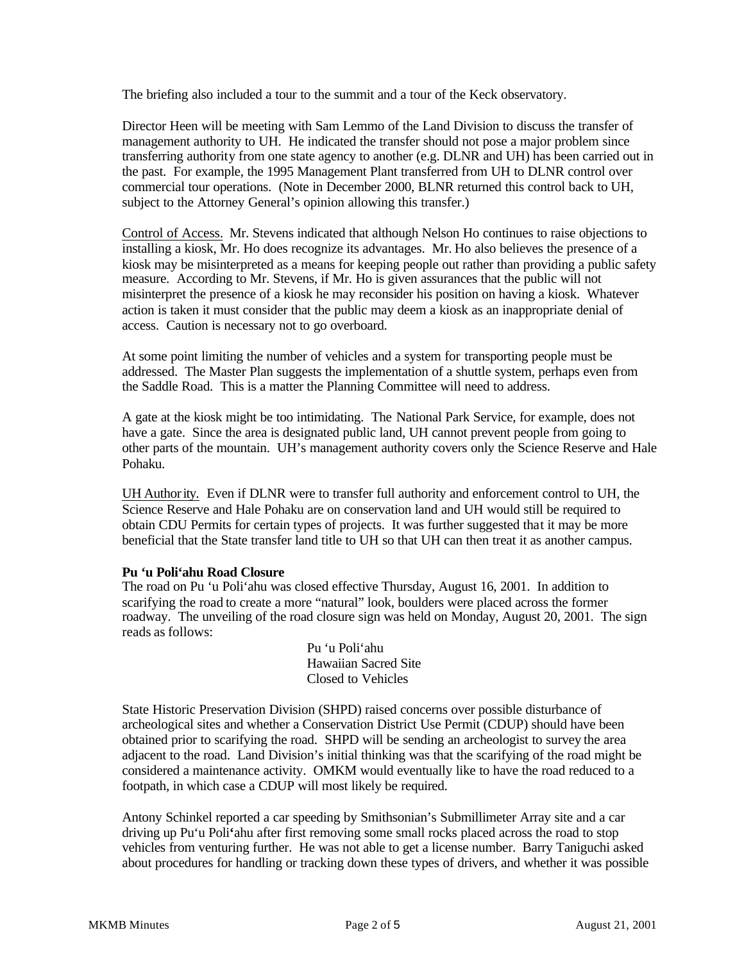The briefing also included a tour to the summit and a tour of the Keck observatory.

Director Heen will be meeting with Sam Lemmo of the Land Division to discuss the transfer of management authority to UH. He indicated the transfer should not pose a major problem since transferring authority from one state agency to another (e.g. DLNR and UH) has been carried out in the past. For example, the 1995 Management Plant transferred from UH to DLNR control over commercial tour operations. (Note in December 2000, BLNR returned this control back to UH, subject to the Attorney General's opinion allowing this transfer.)

Control of Access. Mr. Stevens indicated that although Nelson Ho continues to raise objections to installing a kiosk, Mr. Ho does recognize its advantages. Mr. Ho also believes the presence of a kiosk may be misinterpreted as a means for keeping people out rather than providing a public safety measure. According to Mr. Stevens, if Mr. Ho is given assurances that the public will not misinterpret the presence of a kiosk he may reconsider his position on having a kiosk. Whatever action is taken it must consider that the public may deem a kiosk as an inappropriate denial of access. Caution is necessary not to go overboard.

At some point limiting the number of vehicles and a system for transporting people must be addressed. The Master Plan suggests the implementation of a shuttle system, perhaps even from the Saddle Road. This is a matter the Planning Committee will need to address.

A gate at the kiosk might be too intimidating. The National Park Service, for example, does not have a gate. Since the area is designated public land, UH cannot prevent people from going to other parts of the mountain. UH's management authority covers only the Science Reserve and Hale Pohaku.

UH Authority. Even if DLNR were to transfer full authority and enforcement control to UH, the Science Reserve and Hale Pohaku are on conservation land and UH would still be required to obtain CDU Permits for certain types of projects. It was further suggested that it may be more beneficial that the State transfer land title to UH so that UH can then treat it as another campus.

## **Pu 'u Poli'ahu Road Closure**

The road on Pu 'u Poli'ahu was closed effective Thursday, August 16, 2001. In addition to scarifying the road to create a more "natural" look, boulders were placed across the former roadway. The unveiling of the road closure sign was held on Monday, August 20, 2001. The sign reads as follows:

> Pu 'u Poli'ahu Hawaiian Sacred Site Closed to Vehicles

State Historic Preservation Division (SHPD) raised concerns over possible disturbance of archeological sites and whether a Conservation District Use Permit (CDUP) should have been obtained prior to scarifying the road. SHPD will be sending an archeologist to survey the area adjacent to the road. Land Division's initial thinking was that the scarifying of the road might be considered a maintenance activity. OMKM would eventually like to have the road reduced to a footpath, in which case a CDUP will most likely be required.

Antony Schinkel reported a car speeding by Smithsonian's Submillimeter Array site and a car driving up Pu'u Poli**'**ahu after first removing some small rocks placed across the road to stop vehicles from venturing further. He was not able to get a license number. Barry Taniguchi asked about procedures for handling or tracking down these types of drivers, and whether it was possible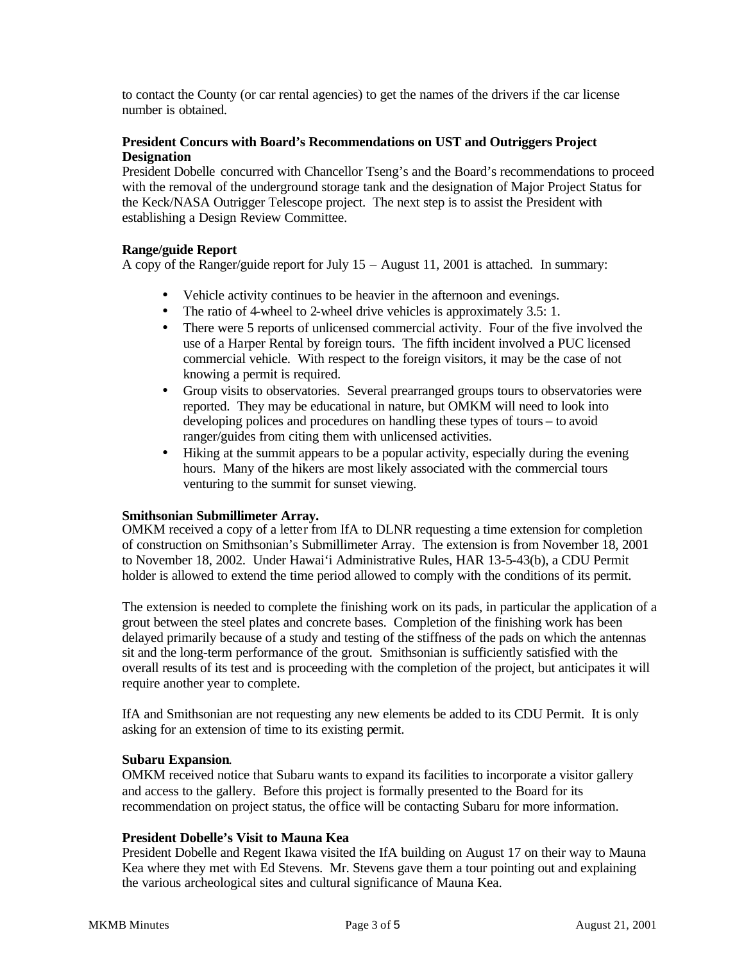to contact the County (or car rental agencies) to get the names of the drivers if the car license number is obtained.

# **President Concurs with Board's Recommendations on UST and Outriggers Project Designation**

President Dobelle concurred with Chancellor Tseng's and the Board's recommendations to proceed with the removal of the underground storage tank and the designation of Major Project Status for the Keck/NASA Outrigger Telescope project. The next step is to assist the President with establishing a Design Review Committee.

## **Range/guide Report**

A copy of the Ranger/guide report for July 15 – August 11, 2001 is attached. In summary:

- Vehicle activity continues to be heavier in the afternoon and evenings.
- The ratio of 4-wheel to 2-wheel drive vehicles is approximately 3.5: 1.
- There were 5 reports of unlicensed commercial activity. Four of the five involved the use of a Harper Rental by foreign tours. The fifth incident involved a PUC licensed commercial vehicle. With respect to the foreign visitors, it may be the case of not knowing a permit is required.
- Group visits to observatories. Several prearranged groups tours to observatories were reported. They may be educational in nature, but OMKM will need to look into developing polices and procedures on handling these types of tours – to avoid ranger/guides from citing them with unlicensed activities.
- Hiking at the summit appears to be a popular activity, especially during the evening hours. Many of the hikers are most likely associated with the commercial tours venturing to the summit for sunset viewing.

## **Smithsonian Submillimeter Array.**

OMKM received a copy of a letter from IfA to DLNR requesting a time extension for completion of construction on Smithsonian's Submillimeter Array. The extension is from November 18, 2001 to November 18, 2002. Under Hawai'i Administrative Rules, HAR 13-5-43(b), a CDU Permit holder is allowed to extend the time period allowed to comply with the conditions of its permit.

The extension is needed to complete the finishing work on its pads, in particular the application of a grout between the steel plates and concrete bases. Completion of the finishing work has been delayed primarily because of a study and testing of the stiffness of the pads on which the antennas sit and the long-term performance of the grout. Smithsonian is sufficiently satisfied with the overall results of its test and is proceeding with the completion of the project, but anticipates it will require another year to complete.

IfA and Smithsonian are not requesting any new elements be added to its CDU Permit. It is only asking for an extension of time to its existing permit.

## **Subaru Expansion**.

OMKM received notice that Subaru wants to expand its facilities to incorporate a visitor gallery and access to the gallery. Before this project is formally presented to the Board for its recommendation on project status, the office will be contacting Subaru for more information.

## **President Dobelle's Visit to Mauna Kea**

President Dobelle and Regent Ikawa visited the IfA building on August 17 on their way to Mauna Kea where they met with Ed Stevens. Mr. Stevens gave them a tour pointing out and explaining the various archeological sites and cultural significance of Mauna Kea.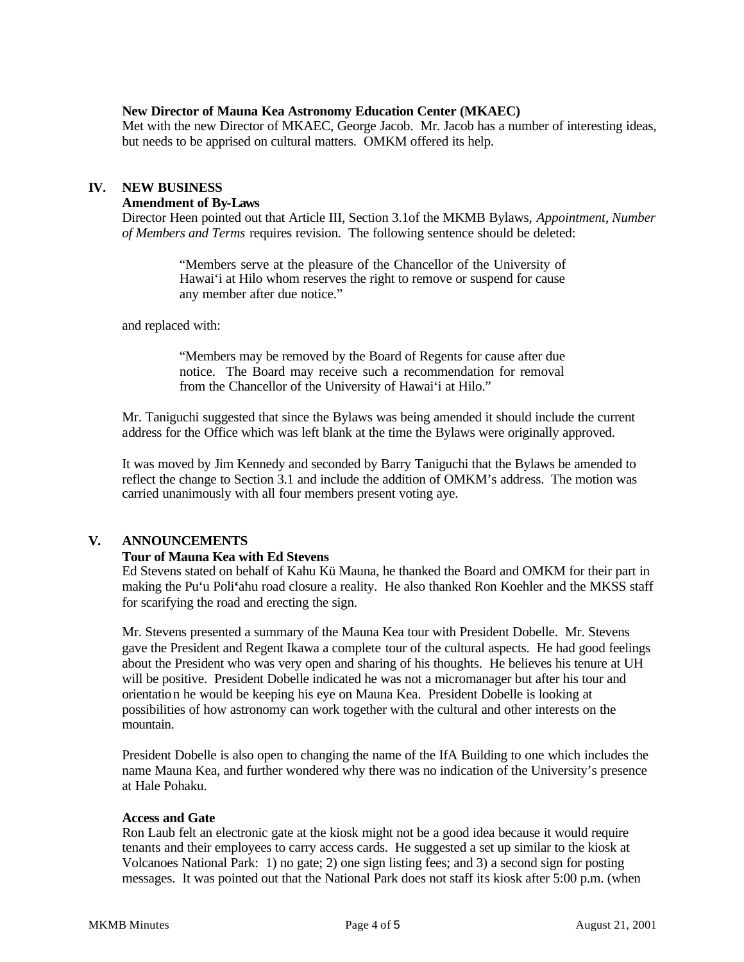#### **New Director of Mauna Kea Astronomy Education Center (MKAEC)**

Met with the new Director of MKAEC, George Jacob. Mr. Jacob has a number of interesting ideas, but needs to be apprised on cultural matters. OMKM offered its help.

#### **IV. NEW BUSINESS**

#### **Amendment of By-Laws**

Director Heen pointed out that Article III, Section 3.1of the MKMB Bylaws, *Appointment, Number of Members and Terms* requires revision. The following sentence should be deleted:

> "Members serve at the pleasure of the Chancellor of the University of Hawai'i at Hilo whom reserves the right to remove or suspend for cause any member after due notice."

and replaced with:

"Members may be removed by the Board of Regents for cause after due notice. The Board may receive such a recommendation for removal from the Chancellor of the University of Hawai'i at Hilo."

Mr. Taniguchi suggested that since the Bylaws was being amended it should include the current address for the Office which was left blank at the time the Bylaws were originally approved.

It was moved by Jim Kennedy and seconded by Barry Taniguchi that the Bylaws be amended to reflect the change to Section 3.1 and include the addition of OMKM's address. The motion was carried unanimously with all four members present voting aye.

# **V. ANNOUNCEMENTS**

## **Tour of Mauna Kea with Ed Stevens**

Ed Stevens stated on behalf of Kahu Kü Mauna, he thanked the Board and OMKM for their part in making the Pu'u Poli**'**ahu road closure a reality. He also thanked Ron Koehler and the MKSS staff for scarifying the road and erecting the sign.

Mr. Stevens presented a summary of the Mauna Kea tour with President Dobelle. Mr. Stevens gave the President and Regent Ikawa a complete tour of the cultural aspects. He had good feelings about the President who was very open and sharing of his thoughts. He believes his tenure at UH will be positive. President Dobelle indicated he was not a micromanager but after his tour and orientation he would be keeping his eye on Mauna Kea. President Dobelle is looking at possibilities of how astronomy can work together with the cultural and other interests on the mountain.

President Dobelle is also open to changing the name of the IfA Building to one which includes the name Mauna Kea, and further wondered why there was no indication of the University's presence at Hale Pohaku.

#### **Access and Gate**

Ron Laub felt an electronic gate at the kiosk might not be a good idea because it would require tenants and their employees to carry access cards. He suggested a set up similar to the kiosk at Volcanoes National Park: 1) no gate; 2) one sign listing fees; and 3) a second sign for posting messages. It was pointed out that the National Park does not staff its kiosk after 5:00 p.m. (when